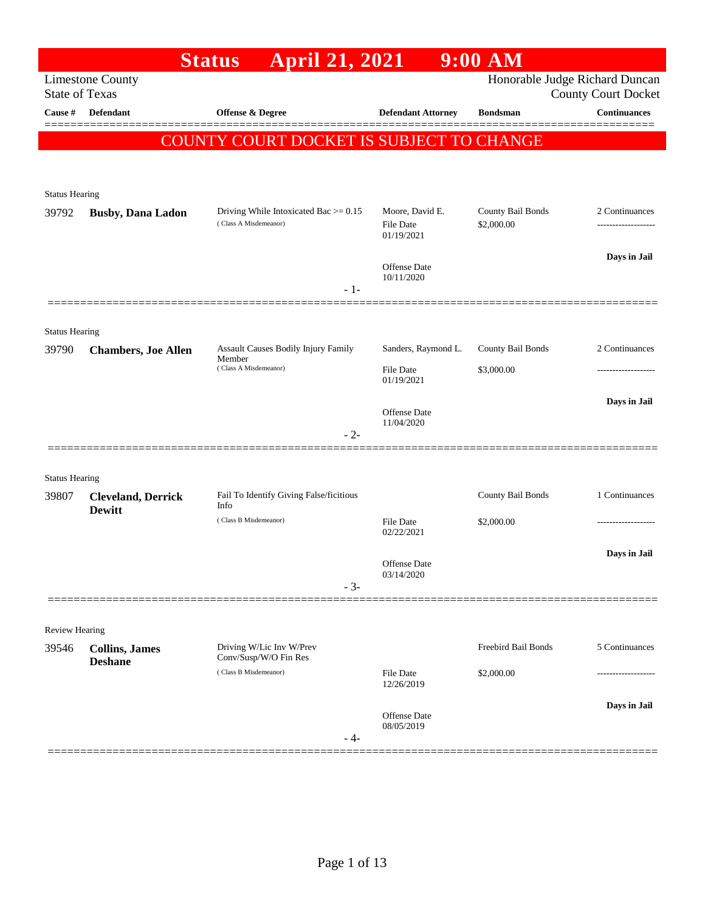|                       |                                            | <b>April 21, 2021</b><br><b>Status</b>                           |                                                   | $9:00$ AM                       |                                                              |
|-----------------------|--------------------------------------------|------------------------------------------------------------------|---------------------------------------------------|---------------------------------|--------------------------------------------------------------|
| <b>State of Texas</b> | <b>Limestone County</b>                    |                                                                  |                                                   |                                 | Honorable Judge Richard Duncan<br><b>County Court Docket</b> |
| Cause #               | <b>Defendant</b>                           | Offense & Degree                                                 | <b>Defendant Attorney</b>                         | <b>Bondsman</b>                 | <b>Continuances</b>                                          |
|                       |                                            | <b>COUNTY COURT DOCKET IS SUBJECT TO CHANGE</b>                  |                                                   |                                 |                                                              |
|                       |                                            |                                                                  |                                                   |                                 |                                                              |
|                       |                                            |                                                                  |                                                   |                                 |                                                              |
| <b>Status Hearing</b> |                                            |                                                                  |                                                   |                                 |                                                              |
| 39792                 | <b>Busby, Dana Ladon</b>                   | Driving While Intoxicated Bac $>= 0.15$<br>(Class A Misdemeanor) | Moore, David E.<br><b>File Date</b><br>01/19/2021 | County Bail Bonds<br>\$2,000.00 | 2 Continuances                                               |
|                       |                                            |                                                                  | Offense Date                                      |                                 | Days in Jail                                                 |
|                       |                                            | $-1-$                                                            | 10/11/2020                                        |                                 |                                                              |
|                       |                                            |                                                                  |                                                   |                                 |                                                              |
| <b>Status Hearing</b> |                                            |                                                                  |                                                   |                                 |                                                              |
| 39790                 | <b>Chambers, Joe Allen</b>                 | Assault Causes Bodily Injury Family                              | Sanders, Raymond L.                               | County Bail Bonds               | 2 Continuances                                               |
|                       |                                            | Member<br>(Class A Misdemeanor)                                  | <b>File Date</b>                                  | \$3,000.00                      | .                                                            |
|                       |                                            |                                                                  | 01/19/2021                                        |                                 |                                                              |
|                       |                                            |                                                                  | <b>Offense Date</b><br>11/04/2020                 |                                 | Days in Jail                                                 |
|                       |                                            | $-2-$                                                            |                                                   |                                 |                                                              |
|                       |                                            |                                                                  |                                                   |                                 |                                                              |
| <b>Status Hearing</b> |                                            |                                                                  |                                                   |                                 |                                                              |
| 39807                 | <b>Cleveland, Derrick</b><br><b>Dewitt</b> | Fail To Identify Giving False/ficitious<br>Info                  |                                                   | County Bail Bonds               | 1 Continuances                                               |
|                       |                                            | (Class B Misdemeanor)                                            | File Date<br>02/22/2021                           | \$2,000.00                      | .                                                            |
|                       |                                            |                                                                  |                                                   |                                 | Days in Jail                                                 |
|                       |                                            |                                                                  | Offense Date<br>03/14/2020                        |                                 |                                                              |
|                       |                                            | $-3-$                                                            |                                                   |                                 |                                                              |
|                       |                                            |                                                                  |                                                   |                                 |                                                              |
| Review Hearing        |                                            |                                                                  |                                                   |                                 |                                                              |
| 39546                 | <b>Collins, James</b><br><b>Deshane</b>    | Driving W/Lic Inv W/Prev<br>Conv/Susp/W/O Fin Res                |                                                   | Freebird Bail Bonds             | 5 Continuances                                               |
|                       |                                            | (Class B Misdemeanor)                                            | File Date<br>12/26/2019                           | \$2,000.00                      |                                                              |
|                       |                                            |                                                                  |                                                   |                                 | Days in Jail                                                 |
|                       |                                            |                                                                  | Offense Date<br>08/05/2019                        |                                 |                                                              |
|                       |                                            | - 4-                                                             |                                                   |                                 |                                                              |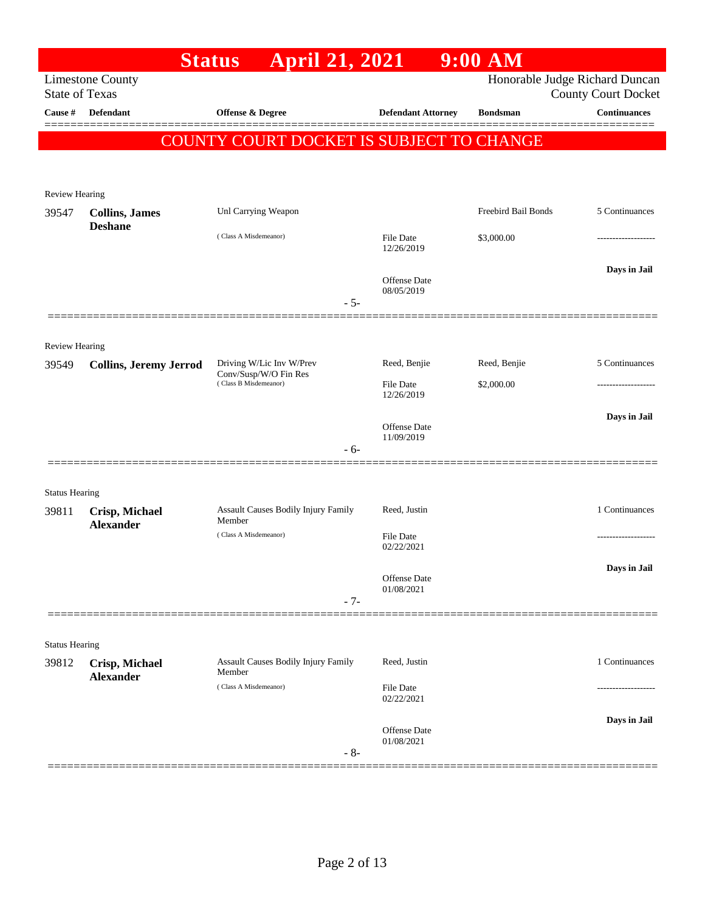| Honorable Judge Richard Duncan<br><b>Limestone County</b><br><b>State of Texas</b><br><b>County Court Docket</b><br><b>Continuances</b><br>Cause #<br><b>Defendant</b><br>Offense & Degree<br><b>Defendant Attorney</b><br><b>Bondsman</b><br><b>COUNTY COURT DOCKET IS SUBJECT TO CHANGE</b><br><b>Review Hearing</b><br><b>Freebird Bail Bonds</b><br>5 Continuances<br>Unl Carrying Weapon<br>39547<br><b>Collins, James</b><br><b>Deshane</b><br>(Class A Misdemeanor)<br>File Date<br>\$3,000.00<br>12/26/2019<br>Days in Jail<br>Offense Date<br>08/05/2019<br>$-5-$<br><b>Review Hearing</b><br>Reed, Benjie<br>5 Continuances<br>Driving W/Lic Inv W/Prev<br>Reed, Benjie<br>39549<br><b>Collins, Jeremy Jerrod</b><br>Conv/Susp/W/O Fin Res<br>(Class B Misdemeanor)<br><b>File Date</b><br>\$2,000.00<br>12/26/2019<br>Days in Jail<br>Offense Date<br>11/09/2019<br>$-6-$<br><b>Status Hearing</b><br>Assault Causes Bodily Injury Family<br>Reed, Justin<br>39811<br>Crisp, Michael<br>Member<br><b>Alexander</b><br>(Class A Misdemeanor)<br><b>File Date</b><br>02/22/2021<br>Offense Date<br>01/08/2021<br>$-7-$<br><b>Status Hearing</b><br>Assault Causes Bodily Injury Family<br>Reed, Justin<br>39812<br>Crisp, Michael<br>Member<br><b>Alexander</b><br>(Class A Misdemeanor)<br><b>File Date</b><br>02/22/2021<br>Offense Date<br>01/08/2021<br>$-8-$ |  | <b>April 21, 2021</b><br><b>Status</b> | $9:00$ AM |                |
|----------------------------------------------------------------------------------------------------------------------------------------------------------------------------------------------------------------------------------------------------------------------------------------------------------------------------------------------------------------------------------------------------------------------------------------------------------------------------------------------------------------------------------------------------------------------------------------------------------------------------------------------------------------------------------------------------------------------------------------------------------------------------------------------------------------------------------------------------------------------------------------------------------------------------------------------------------------------------------------------------------------------------------------------------------------------------------------------------------------------------------------------------------------------------------------------------------------------------------------------------------------------------------------------------------------------------------------------------------------------------|--|----------------------------------------|-----------|----------------|
|                                                                                                                                                                                                                                                                                                                                                                                                                                                                                                                                                                                                                                                                                                                                                                                                                                                                                                                                                                                                                                                                                                                                                                                                                                                                                                                                                                            |  |                                        |           |                |
|                                                                                                                                                                                                                                                                                                                                                                                                                                                                                                                                                                                                                                                                                                                                                                                                                                                                                                                                                                                                                                                                                                                                                                                                                                                                                                                                                                            |  |                                        |           |                |
|                                                                                                                                                                                                                                                                                                                                                                                                                                                                                                                                                                                                                                                                                                                                                                                                                                                                                                                                                                                                                                                                                                                                                                                                                                                                                                                                                                            |  |                                        |           |                |
|                                                                                                                                                                                                                                                                                                                                                                                                                                                                                                                                                                                                                                                                                                                                                                                                                                                                                                                                                                                                                                                                                                                                                                                                                                                                                                                                                                            |  |                                        |           |                |
|                                                                                                                                                                                                                                                                                                                                                                                                                                                                                                                                                                                                                                                                                                                                                                                                                                                                                                                                                                                                                                                                                                                                                                                                                                                                                                                                                                            |  |                                        |           |                |
|                                                                                                                                                                                                                                                                                                                                                                                                                                                                                                                                                                                                                                                                                                                                                                                                                                                                                                                                                                                                                                                                                                                                                                                                                                                                                                                                                                            |  |                                        |           |                |
|                                                                                                                                                                                                                                                                                                                                                                                                                                                                                                                                                                                                                                                                                                                                                                                                                                                                                                                                                                                                                                                                                                                                                                                                                                                                                                                                                                            |  |                                        |           |                |
|                                                                                                                                                                                                                                                                                                                                                                                                                                                                                                                                                                                                                                                                                                                                                                                                                                                                                                                                                                                                                                                                                                                                                                                                                                                                                                                                                                            |  |                                        |           |                |
|                                                                                                                                                                                                                                                                                                                                                                                                                                                                                                                                                                                                                                                                                                                                                                                                                                                                                                                                                                                                                                                                                                                                                                                                                                                                                                                                                                            |  |                                        |           |                |
|                                                                                                                                                                                                                                                                                                                                                                                                                                                                                                                                                                                                                                                                                                                                                                                                                                                                                                                                                                                                                                                                                                                                                                                                                                                                                                                                                                            |  |                                        |           |                |
|                                                                                                                                                                                                                                                                                                                                                                                                                                                                                                                                                                                                                                                                                                                                                                                                                                                                                                                                                                                                                                                                                                                                                                                                                                                                                                                                                                            |  |                                        |           |                |
|                                                                                                                                                                                                                                                                                                                                                                                                                                                                                                                                                                                                                                                                                                                                                                                                                                                                                                                                                                                                                                                                                                                                                                                                                                                                                                                                                                            |  |                                        |           |                |
|                                                                                                                                                                                                                                                                                                                                                                                                                                                                                                                                                                                                                                                                                                                                                                                                                                                                                                                                                                                                                                                                                                                                                                                                                                                                                                                                                                            |  |                                        |           |                |
|                                                                                                                                                                                                                                                                                                                                                                                                                                                                                                                                                                                                                                                                                                                                                                                                                                                                                                                                                                                                                                                                                                                                                                                                                                                                                                                                                                            |  |                                        |           |                |
|                                                                                                                                                                                                                                                                                                                                                                                                                                                                                                                                                                                                                                                                                                                                                                                                                                                                                                                                                                                                                                                                                                                                                                                                                                                                                                                                                                            |  |                                        |           |                |
|                                                                                                                                                                                                                                                                                                                                                                                                                                                                                                                                                                                                                                                                                                                                                                                                                                                                                                                                                                                                                                                                                                                                                                                                                                                                                                                                                                            |  |                                        |           |                |
|                                                                                                                                                                                                                                                                                                                                                                                                                                                                                                                                                                                                                                                                                                                                                                                                                                                                                                                                                                                                                                                                                                                                                                                                                                                                                                                                                                            |  |                                        |           |                |
|                                                                                                                                                                                                                                                                                                                                                                                                                                                                                                                                                                                                                                                                                                                                                                                                                                                                                                                                                                                                                                                                                                                                                                                                                                                                                                                                                                            |  |                                        |           |                |
|                                                                                                                                                                                                                                                                                                                                                                                                                                                                                                                                                                                                                                                                                                                                                                                                                                                                                                                                                                                                                                                                                                                                                                                                                                                                                                                                                                            |  |                                        |           |                |
|                                                                                                                                                                                                                                                                                                                                                                                                                                                                                                                                                                                                                                                                                                                                                                                                                                                                                                                                                                                                                                                                                                                                                                                                                                                                                                                                                                            |  |                                        |           |                |
|                                                                                                                                                                                                                                                                                                                                                                                                                                                                                                                                                                                                                                                                                                                                                                                                                                                                                                                                                                                                                                                                                                                                                                                                                                                                                                                                                                            |  |                                        |           |                |
|                                                                                                                                                                                                                                                                                                                                                                                                                                                                                                                                                                                                                                                                                                                                                                                                                                                                                                                                                                                                                                                                                                                                                                                                                                                                                                                                                                            |  |                                        |           |                |
|                                                                                                                                                                                                                                                                                                                                                                                                                                                                                                                                                                                                                                                                                                                                                                                                                                                                                                                                                                                                                                                                                                                                                                                                                                                                                                                                                                            |  |                                        |           | 1 Continuances |
|                                                                                                                                                                                                                                                                                                                                                                                                                                                                                                                                                                                                                                                                                                                                                                                                                                                                                                                                                                                                                                                                                                                                                                                                                                                                                                                                                                            |  |                                        |           |                |
|                                                                                                                                                                                                                                                                                                                                                                                                                                                                                                                                                                                                                                                                                                                                                                                                                                                                                                                                                                                                                                                                                                                                                                                                                                                                                                                                                                            |  |                                        |           |                |
|                                                                                                                                                                                                                                                                                                                                                                                                                                                                                                                                                                                                                                                                                                                                                                                                                                                                                                                                                                                                                                                                                                                                                                                                                                                                                                                                                                            |  |                                        |           | Days in Jail   |
|                                                                                                                                                                                                                                                                                                                                                                                                                                                                                                                                                                                                                                                                                                                                                                                                                                                                                                                                                                                                                                                                                                                                                                                                                                                                                                                                                                            |  |                                        |           |                |
|                                                                                                                                                                                                                                                                                                                                                                                                                                                                                                                                                                                                                                                                                                                                                                                                                                                                                                                                                                                                                                                                                                                                                                                                                                                                                                                                                                            |  |                                        |           |                |
|                                                                                                                                                                                                                                                                                                                                                                                                                                                                                                                                                                                                                                                                                                                                                                                                                                                                                                                                                                                                                                                                                                                                                                                                                                                                                                                                                                            |  |                                        |           |                |
|                                                                                                                                                                                                                                                                                                                                                                                                                                                                                                                                                                                                                                                                                                                                                                                                                                                                                                                                                                                                                                                                                                                                                                                                                                                                                                                                                                            |  |                                        |           |                |
|                                                                                                                                                                                                                                                                                                                                                                                                                                                                                                                                                                                                                                                                                                                                                                                                                                                                                                                                                                                                                                                                                                                                                                                                                                                                                                                                                                            |  |                                        |           | 1 Continuances |
|                                                                                                                                                                                                                                                                                                                                                                                                                                                                                                                                                                                                                                                                                                                                                                                                                                                                                                                                                                                                                                                                                                                                                                                                                                                                                                                                                                            |  |                                        |           |                |
|                                                                                                                                                                                                                                                                                                                                                                                                                                                                                                                                                                                                                                                                                                                                                                                                                                                                                                                                                                                                                                                                                                                                                                                                                                                                                                                                                                            |  |                                        |           |                |
|                                                                                                                                                                                                                                                                                                                                                                                                                                                                                                                                                                                                                                                                                                                                                                                                                                                                                                                                                                                                                                                                                                                                                                                                                                                                                                                                                                            |  |                                        |           | Days in Jail   |
|                                                                                                                                                                                                                                                                                                                                                                                                                                                                                                                                                                                                                                                                                                                                                                                                                                                                                                                                                                                                                                                                                                                                                                                                                                                                                                                                                                            |  |                                        |           |                |
|                                                                                                                                                                                                                                                                                                                                                                                                                                                                                                                                                                                                                                                                                                                                                                                                                                                                                                                                                                                                                                                                                                                                                                                                                                                                                                                                                                            |  |                                        |           |                |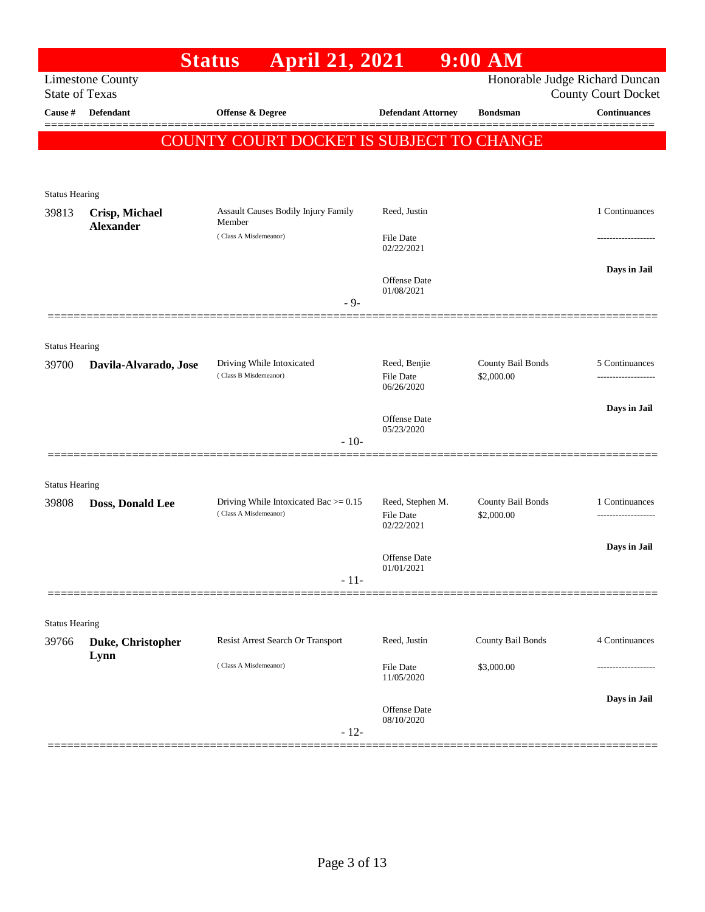|                                |                         | April 21, 2021<br><b>Status</b>                 |                                   | $9:00$ AM         |                                                              |
|--------------------------------|-------------------------|-------------------------------------------------|-----------------------------------|-------------------|--------------------------------------------------------------|
| <b>State of Texas</b>          | <b>Limestone County</b> |                                                 |                                   |                   | Honorable Judge Richard Duncan<br><b>County Court Docket</b> |
| <b>Cause</b> #                 | Defendant               | Offense & Degree                                | <b>Defendant Attorney</b>         | <b>Bondsman</b>   | Continuances                                                 |
|                                |                         | <b>COUNTY COURT DOCKET IS SUBJECT TO CHANGE</b> |                                   |                   |                                                              |
|                                |                         |                                                 |                                   |                   |                                                              |
| <b>Status Hearing</b>          |                         |                                                 |                                   |                   |                                                              |
| 39813                          | Crisp, Michael          | Assault Causes Bodily Injury Family             | Reed, Justin                      |                   | 1 Continuances                                               |
|                                | <b>Alexander</b>        | Member<br>(Class A Misdemeanor)                 | <b>File Date</b><br>02/22/2021    |                   |                                                              |
|                                |                         |                                                 |                                   |                   | Days in Jail                                                 |
|                                |                         |                                                 | Offense Date<br>01/08/2021        |                   |                                                              |
|                                |                         | $-9-$                                           |                                   |                   |                                                              |
| <b>Status Hearing</b>          |                         |                                                 |                                   |                   |                                                              |
| 39700                          | Davila-Alvarado, Jose   | Driving While Intoxicated                       | Reed, Benjie                      | County Bail Bonds | 5 Continuances                                               |
|                                |                         | (Class B Misdemeanor)                           | <b>File Date</b><br>06/26/2020    | \$2,000.00        |                                                              |
|                                |                         |                                                 | <b>Offense Date</b><br>05/23/2020 |                   | Days in Jail                                                 |
|                                |                         | $-10-$                                          |                                   |                   |                                                              |
|                                |                         |                                                 |                                   |                   |                                                              |
| <b>Status Hearing</b><br>39808 | Doss, Donald Lee        | Driving While Intoxicated Bac $> = 0.15$        | Reed, Stephen M.                  | County Bail Bonds | 1 Continuances                                               |
|                                |                         | (Class A Misdemeanor)                           | File Date<br>02/22/2021           | \$2,000.00        |                                                              |
|                                |                         |                                                 |                                   |                   | Days in Jail                                                 |
|                                |                         |                                                 | Offense Date<br>01/01/2021        |                   |                                                              |
|                                |                         | $-11-$                                          |                                   |                   |                                                              |
| <b>Status Hearing</b>          |                         |                                                 |                                   |                   |                                                              |
| 39766                          | Duke, Christopher       | Resist Arrest Search Or Transport               | Reed, Justin                      | County Bail Bonds | 4 Continuances                                               |
|                                | Lynn                    | (Class A Misdemeanor)                           | File Date<br>11/05/2020           | \$3,000.00        |                                                              |
|                                |                         |                                                 | Offense Date                      |                   | Days in Jail                                                 |
|                                |                         | $-12-$                                          | 08/10/2020                        |                   |                                                              |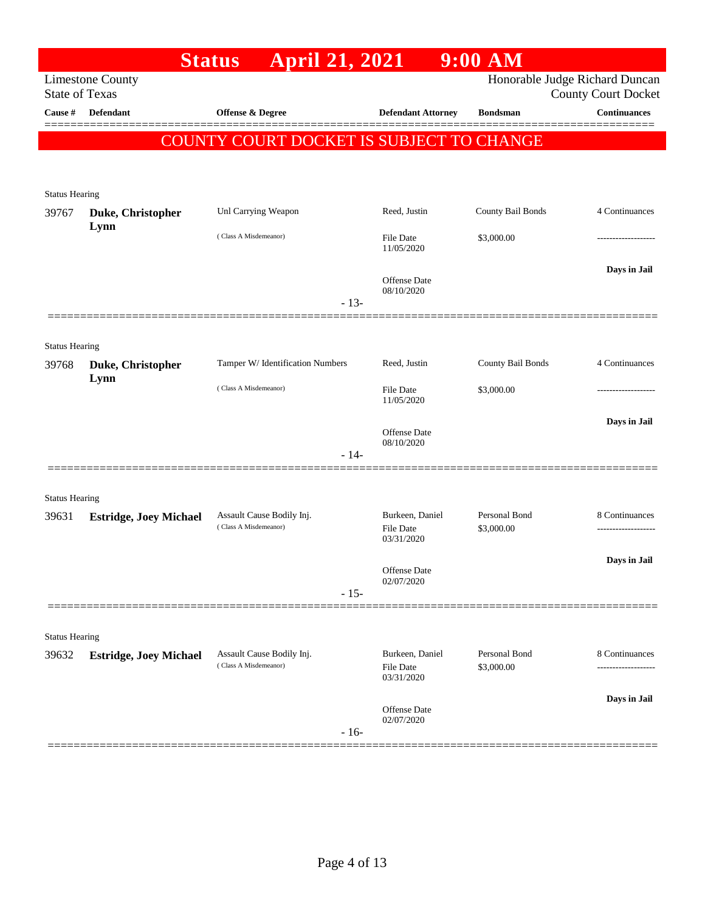|                       |                               | <b>April 21, 2021</b><br><b>Status</b>             |        |                                                   | $9:00$ AM                   |                                                              |
|-----------------------|-------------------------------|----------------------------------------------------|--------|---------------------------------------------------|-----------------------------|--------------------------------------------------------------|
| <b>State of Texas</b> | <b>Limestone County</b>       |                                                    |        |                                                   |                             | Honorable Judge Richard Duncan<br><b>County Court Docket</b> |
| Cause #               | <b>Defendant</b>              | Offense & Degree                                   |        | <b>Defendant Attorney</b>                         | <b>Bondsman</b>             | <b>Continuances</b>                                          |
|                       |                               | <b>COUNTY COURT DOCKET IS SUBJECT TO CHANGE</b>    |        |                                                   |                             |                                                              |
| <b>Status Hearing</b> |                               |                                                    |        |                                                   |                             |                                                              |
| 39767                 | Duke, Christopher             | Unl Carrying Weapon                                |        | Reed, Justin                                      | County Bail Bonds           | 4 Continuances                                               |
|                       | Lynn                          | (Class A Misdemeanor)                              |        | <b>File Date</b><br>11/05/2020                    | \$3,000.00                  |                                                              |
|                       |                               |                                                    | $-13-$ | <b>Offense</b> Date<br>08/10/2020                 |                             | Days in Jail                                                 |
|                       |                               |                                                    |        |                                                   |                             |                                                              |
| <b>Status Hearing</b> |                               |                                                    |        |                                                   |                             |                                                              |
| 39768                 | Duke, Christopher             | Tamper W/ Identification Numbers                   |        | Reed, Justin                                      | County Bail Bonds           | 4 Continuances                                               |
|                       | Lynn                          | (Class A Misdemeanor)                              |        | <b>File Date</b><br>11/05/2020                    | \$3,000.00                  |                                                              |
|                       |                               |                                                    |        | Offense Date<br>08/10/2020                        |                             | Days in Jail                                                 |
|                       |                               |                                                    | $-14-$ |                                                   |                             |                                                              |
| <b>Status Hearing</b> |                               |                                                    |        |                                                   |                             |                                                              |
| 39631                 | <b>Estridge, Joey Michael</b> | Assault Cause Bodily Inj.                          |        | Burkeen, Daniel                                   | Personal Bond               | 8 Continuances                                               |
|                       |                               | (Class A Misdemeanor)                              |        | <b>File Date</b><br>03/31/2020                    | \$3,000.00                  | .                                                            |
|                       |                               |                                                    |        | Offense Date                                      |                             | Days in Jail                                                 |
|                       |                               |                                                    | $-15-$ | 02/07/2020                                        |                             |                                                              |
|                       |                               |                                                    |        |                                                   |                             |                                                              |
| <b>Status Hearing</b> |                               |                                                    |        |                                                   |                             |                                                              |
| 39632                 | <b>Estridge, Joey Michael</b> | Assault Cause Bodily Inj.<br>(Class A Misdemeanor) |        | Burkeen, Daniel<br><b>File Date</b><br>03/31/2020 | Personal Bond<br>\$3,000.00 | 8 Continuances                                               |
|                       |                               |                                                    |        | Offense Date<br>02/07/2020                        |                             | Days in Jail                                                 |
|                       |                               |                                                    | $-16-$ |                                                   |                             |                                                              |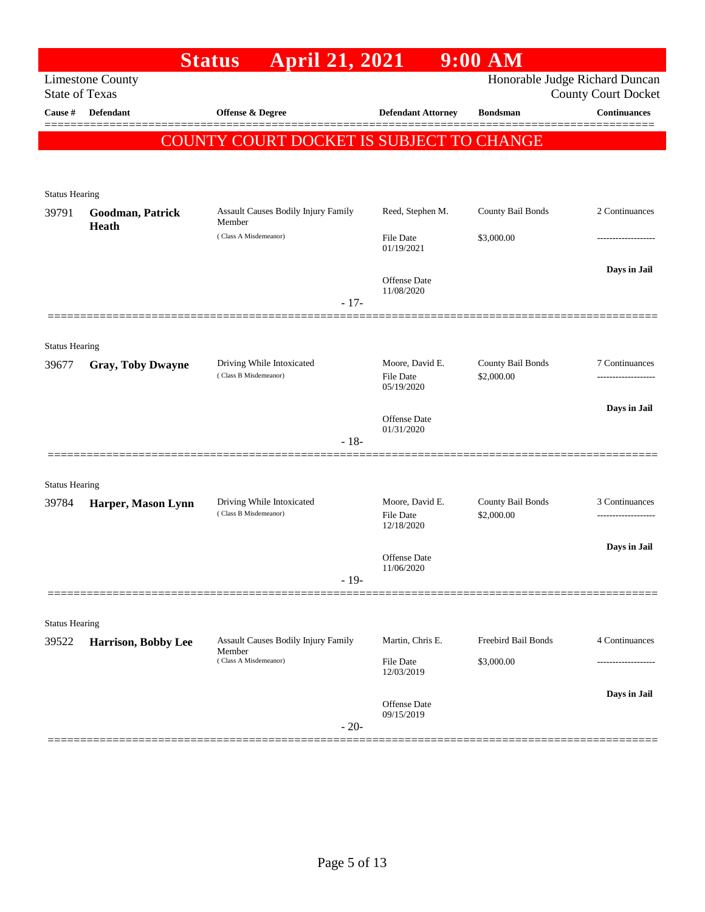|                                |                                                  | <b>April 21, 2021</b><br><b>Status</b>               |                                | $9:00$ AM           |                                                              |
|--------------------------------|--------------------------------------------------|------------------------------------------------------|--------------------------------|---------------------|--------------------------------------------------------------|
|                                | <b>Limestone County</b><br><b>State of Texas</b> |                                                      |                                |                     | Honorable Judge Richard Duncan<br><b>County Court Docket</b> |
| Cause #                        | Defendant                                        | Offense & Degree                                     | <b>Defendant Attorney</b>      | <b>Bondsman</b>     | <b>Continuances</b>                                          |
|                                |                                                  | COUNTY COURT DOCKET IS SUBJECT TO CHANGE             |                                |                     | <u> =========</u>                                            |
|                                |                                                  |                                                      |                                |                     |                                                              |
| <b>Status Hearing</b>          |                                                  |                                                      |                                |                     |                                                              |
| 39791                          | Goodman, Patrick<br><b>Heath</b>                 | Assault Causes Bodily Injury Family<br>Member        | Reed, Stephen M.               | County Bail Bonds   | 2 Continuances                                               |
|                                |                                                  | (Class A Misdemeanor)                                | File Date<br>01/19/2021        | \$3,000.00          |                                                              |
|                                |                                                  |                                                      | Offense Date<br>11/08/2020     |                     | Days in Jail                                                 |
|                                |                                                  |                                                      | $-17-$                         |                     |                                                              |
|                                |                                                  |                                                      |                                |                     |                                                              |
| <b>Status Hearing</b><br>39677 | <b>Gray, Toby Dwayne</b>                         | Driving While Intoxicated                            | Moore, David E.                | County Bail Bonds   | 7 Continuances                                               |
|                                |                                                  | (Class B Misdemeanor)                                | <b>File Date</b><br>05/19/2020 | \$2,000.00          |                                                              |
|                                |                                                  |                                                      | Offense Date                   |                     | Days in Jail                                                 |
|                                |                                                  |                                                      | 01/31/2020<br>$-18-$           |                     |                                                              |
|                                |                                                  |                                                      |                                |                     |                                                              |
| <b>Status Hearing</b>          |                                                  |                                                      |                                |                     |                                                              |
| 39784                          | Harper, Mason Lynn                               | Driving While Intoxicated<br>(Class B Misdemeanor)   | Moore, David E.                | County Bail Bonds   | 3 Continuances                                               |
|                                |                                                  |                                                      | File Date<br>12/18/2020        | \$2,000.00          |                                                              |
|                                |                                                  |                                                      | Offense Date                   |                     | Days in Jail                                                 |
|                                |                                                  |                                                      | 11/06/2020<br>$-19-$           |                     |                                                              |
|                                |                                                  |                                                      |                                |                     |                                                              |
| <b>Status Hearing</b>          |                                                  |                                                      |                                |                     |                                                              |
| 39522                          | Harrison, Bobby Lee                              | <b>Assault Causes Bodily Injury Family</b><br>Member | Martin, Chris E.               | Freebird Bail Bonds | 4 Continuances                                               |
|                                |                                                  | (Class A Misdemeanor)                                | File Date<br>12/03/2019        | \$3,000.00          |                                                              |
|                                |                                                  |                                                      | Offense Date                   |                     | Days in Jail                                                 |
|                                |                                                  |                                                      | 09/15/2019<br>$-20-$           |                     |                                                              |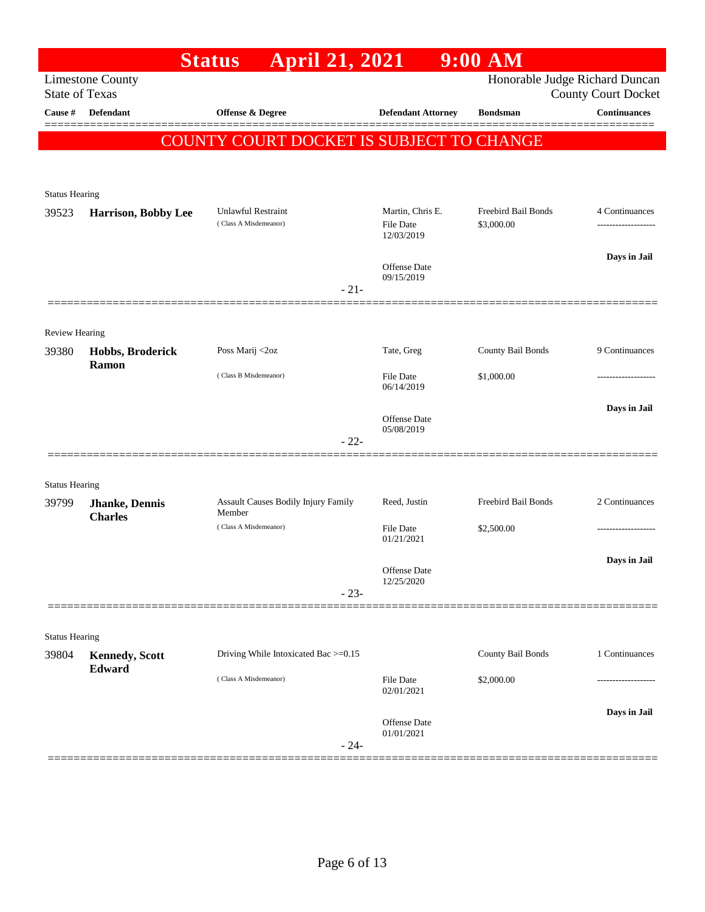|                       |                         | <b>April 21, 2021</b><br><b>Status</b>   |                                | 9:00 AM             |                                |
|-----------------------|-------------------------|------------------------------------------|--------------------------------|---------------------|--------------------------------|
|                       | <b>Limestone County</b> |                                          |                                |                     | Honorable Judge Richard Duncan |
| <b>State of Texas</b> |                         |                                          |                                |                     | <b>County Court Docket</b>     |
| Cause #               | Defendant               | Offense & Degree                         | <b>Defendant Attorney</b>      | <b>Bondsman</b>     | <b>Continuances</b>            |
|                       |                         | COUNTY COURT DOCKET IS SUBJECT TO CHANGE |                                |                     |                                |
|                       |                         |                                          |                                |                     |                                |
| <b>Status Hearing</b> |                         |                                          |                                |                     |                                |
| 39523                 | Harrison, Bobby Lee     | <b>Unlawful Restraint</b>                | Martin, Chris E.               | Freebird Bail Bonds | 4 Continuances                 |
|                       |                         | (Class A Misdemeanor)                    | File Date<br>12/03/2019        | \$3,000.00          |                                |
|                       |                         |                                          |                                |                     |                                |
|                       |                         |                                          | Offense Date<br>09/15/2019     |                     | Days in Jail                   |
|                       |                         | $-21-$                                   |                                |                     |                                |
|                       |                         |                                          |                                |                     |                                |
| Review Hearing        |                         |                                          |                                |                     |                                |
| 39380                 | Hobbs, Broderick        | Poss Marij <2oz                          | Tate, Greg                     | County Bail Bonds   | 9 Continuances                 |
|                       | Ramon                   | (Class B Misdemeanor)                    | <b>File Date</b>               | \$1,000.00          |                                |
|                       |                         |                                          | 06/14/2019                     |                     |                                |
|                       |                         |                                          | Offense Date                   |                     | Days in Jail                   |
|                       |                         | $-22-$                                   | 05/08/2019                     |                     |                                |
|                       |                         |                                          |                                |                     |                                |
| <b>Status Hearing</b> |                         |                                          |                                |                     |                                |
| 39799                 | Jhanke, Dennis          | Assault Causes Bodily Injury Family      | Reed, Justin                   | Freebird Bail Bonds | 2 Continuances                 |
|                       | <b>Charles</b>          | Member<br>(Class A Misdemeanor)          | <b>File Date</b>               | \$2,500.00          |                                |
|                       |                         |                                          | 01/21/2021                     |                     |                                |
|                       |                         |                                          | Offense Date                   |                     | Days in Jail                   |
|                       |                         | $-23-$                                   | 12/25/2020                     |                     |                                |
|                       |                         |                                          |                                |                     |                                |
| <b>Status Hearing</b> |                         |                                          |                                |                     |                                |
| 39804                 | <b>Kennedy, Scott</b>   | Driving While Intoxicated Bac >=0.15     |                                | County Bail Bonds   | 1 Continuances                 |
|                       | Edward                  | (Class A Misdemeanor)                    |                                |                     |                                |
|                       |                         |                                          | <b>File Date</b><br>02/01/2021 | \$2,000.00          |                                |
|                       |                         |                                          |                                |                     | Days in Jail                   |
|                       |                         |                                          | Offense Date<br>01/01/2021     |                     |                                |
|                       |                         | $-24-$                                   |                                |                     |                                |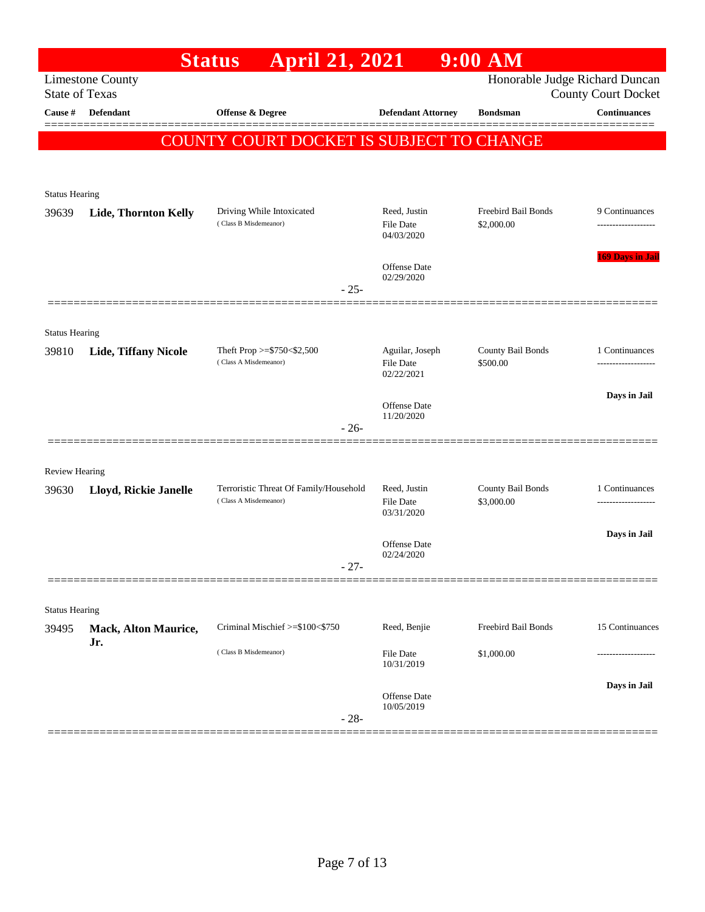|                                  |                             | <b>April 21, 2021</b><br><b>Status</b>                          |                                     | $9:00$ AM                       |                                                   |
|----------------------------------|-----------------------------|-----------------------------------------------------------------|-------------------------------------|---------------------------------|---------------------------------------------------|
|                                  | <b>Limestone County</b>     |                                                                 |                                     |                                 | Honorable Judge Richard Duncan                    |
| <b>State of Texas</b><br>Cause # | <b>Defendant</b>            | Offense & Degree                                                | <b>Defendant Attorney</b>           | <b>Bondsman</b>                 | <b>County Court Docket</b><br><b>Continuances</b> |
|                                  |                             |                                                                 |                                     |                                 |                                                   |
|                                  |                             | <b>COUNTY COURT DOCKET IS SUBJECT TO CHANGE</b>                 |                                     |                                 |                                                   |
|                                  |                             |                                                                 |                                     |                                 |                                                   |
| <b>Status Hearing</b>            |                             |                                                                 |                                     |                                 |                                                   |
| 39639                            | Lide, Thornton Kelly        | Driving While Intoxicated                                       | Reed, Justin                        | Freebird Bail Bonds             | 9 Continuances                                    |
|                                  |                             | (Class B Misdemeanor)                                           | File Date<br>04/03/2020             | \$2,000.00                      |                                                   |
|                                  |                             |                                                                 |                                     |                                 | <b>169 Days in Jail</b>                           |
|                                  |                             |                                                                 | <b>Offense Date</b><br>02/29/2020   |                                 |                                                   |
|                                  |                             | $-25-$                                                          |                                     |                                 |                                                   |
|                                  |                             |                                                                 |                                     |                                 |                                                   |
| <b>Status Hearing</b>            |                             |                                                                 |                                     | County Bail Bonds               |                                                   |
| 39810                            | <b>Lide, Tiffany Nicole</b> | Theft Prop >=\$750<\$2,500<br>(Class A Misdemeanor)             | Aguilar, Joseph<br><b>File Date</b> | \$500.00                        | 1 Continuances                                    |
|                                  |                             |                                                                 | 02/22/2021                          |                                 |                                                   |
|                                  |                             |                                                                 | Offense Date                        |                                 | Days in Jail                                      |
|                                  |                             | $-26-$                                                          | 11/20/2020                          |                                 |                                                   |
|                                  |                             |                                                                 |                                     |                                 |                                                   |
| <b>Review Hearing</b>            |                             |                                                                 |                                     |                                 |                                                   |
| 39630                            | Lloyd, Rickie Janelle       | Terroristic Threat Of Family/Household<br>(Class A Misdemeanor) | Reed, Justin<br><b>File Date</b>    | County Bail Bonds<br>\$3,000.00 | 1 Continuances                                    |
|                                  |                             |                                                                 | 03/31/2020                          |                                 |                                                   |
|                                  |                             |                                                                 | Offense Date                        |                                 | Days in Jail                                      |
|                                  |                             |                                                                 | 02/24/2020                          |                                 |                                                   |
|                                  |                             | $27 -$                                                          |                                     |                                 |                                                   |
|                                  |                             |                                                                 |                                     |                                 |                                                   |
| <b>Status Hearing</b><br>39495   | Mack, Alton Maurice,        | Criminal Mischief >=\$100<\$750                                 | Reed, Benjie                        | Freebird Bail Bonds             | 15 Continuances                                   |
|                                  | Jr.                         |                                                                 |                                     |                                 |                                                   |
|                                  |                             | (Class B Misdemeanor)                                           | File Date<br>10/31/2019             | \$1,000.00                      |                                                   |
|                                  |                             |                                                                 |                                     |                                 | Days in Jail                                      |
|                                  |                             |                                                                 | Offense Date<br>10/05/2019          |                                 |                                                   |
|                                  |                             | $-28-$                                                          |                                     |                                 |                                                   |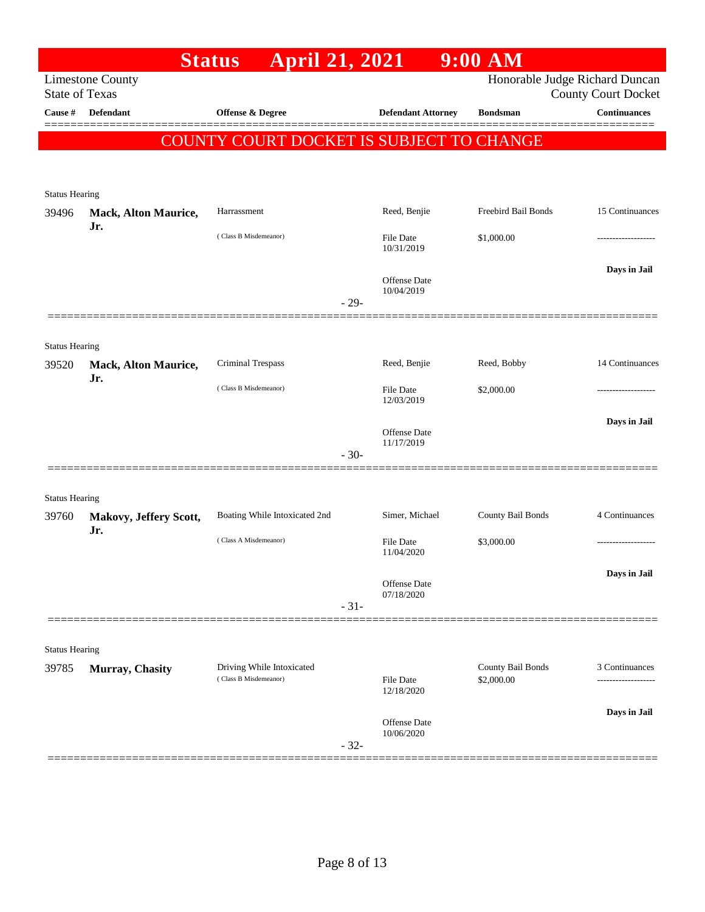| Honorable Judge Richard Duncan<br><b>Limestone County</b><br><b>State of Texas</b><br><b>County Court Docket</b><br>Defendant<br>Offense & Degree<br><b>Defendant Attorney</b><br><b>Continuances</b><br>Cause #<br><b>Bondsman</b><br>COUNTY COURT DOCKET IS SUBJECT TO CHANGE<br><b>Status Hearing</b><br>Reed, Benjie<br>Freebird Bail Bonds<br>Harrassment<br><b>Mack, Alton Maurice,</b><br>39496<br>Jr.<br>(Class B Misdemeanor)<br><b>File Date</b><br>\$1,000.00<br>.<br>10/31/2019<br>Days in Jail<br>Offense Date<br>10/04/2019<br>$-29-$<br><b>Status Hearing</b><br>Criminal Trespass<br>Reed, Benjie<br>Reed, Bobby<br><b>Mack, Alton Maurice,</b><br>39520<br>Jr.<br>(Class B Misdemeanor)<br><b>File Date</b><br>\$2,000.00<br>----------------<br>12/03/2019<br>Days in Jail<br>Offense Date<br>11/17/2019<br>$-30-$<br><b>Status Hearing</b><br>Boating While Intoxicated 2nd<br>Simer, Michael<br>County Bail Bonds<br>4 Continuances<br>39760<br>Makovy, Jeffery Scott,<br>Jr.<br>(Class A Misdemeanor)<br><b>File Date</b><br>\$3,000.00<br>-------------------<br>11/04/2020<br>Days in Jail<br>Offense Date<br>07/18/2020<br>$-31-$<br><b>Status Hearing</b><br>County Bail Bonds<br>3 Continuances<br>Driving While Intoxicated<br>39785<br>Murray, Chasity<br>(Class B Misdemeanor)<br><b>File Date</b><br>\$2,000.00<br>12/18/2020<br>Days in Jail<br>Offense Date<br>10/06/2020<br>$-32-$ |  | <b>April 21, 2021</b><br><b>Status</b> |  | $9:00$ AM |                 |
|---------------------------------------------------------------------------------------------------------------------------------------------------------------------------------------------------------------------------------------------------------------------------------------------------------------------------------------------------------------------------------------------------------------------------------------------------------------------------------------------------------------------------------------------------------------------------------------------------------------------------------------------------------------------------------------------------------------------------------------------------------------------------------------------------------------------------------------------------------------------------------------------------------------------------------------------------------------------------------------------------------------------------------------------------------------------------------------------------------------------------------------------------------------------------------------------------------------------------------------------------------------------------------------------------------------------------------------------------------------------------------------------------------------------|--|----------------------------------------|--|-----------|-----------------|
|                                                                                                                                                                                                                                                                                                                                                                                                                                                                                                                                                                                                                                                                                                                                                                                                                                                                                                                                                                                                                                                                                                                                                                                                                                                                                                                                                                                                                     |  |                                        |  |           |                 |
|                                                                                                                                                                                                                                                                                                                                                                                                                                                                                                                                                                                                                                                                                                                                                                                                                                                                                                                                                                                                                                                                                                                                                                                                                                                                                                                                                                                                                     |  |                                        |  |           |                 |
|                                                                                                                                                                                                                                                                                                                                                                                                                                                                                                                                                                                                                                                                                                                                                                                                                                                                                                                                                                                                                                                                                                                                                                                                                                                                                                                                                                                                                     |  |                                        |  |           |                 |
|                                                                                                                                                                                                                                                                                                                                                                                                                                                                                                                                                                                                                                                                                                                                                                                                                                                                                                                                                                                                                                                                                                                                                                                                                                                                                                                                                                                                                     |  |                                        |  |           |                 |
|                                                                                                                                                                                                                                                                                                                                                                                                                                                                                                                                                                                                                                                                                                                                                                                                                                                                                                                                                                                                                                                                                                                                                                                                                                                                                                                                                                                                                     |  |                                        |  |           |                 |
|                                                                                                                                                                                                                                                                                                                                                                                                                                                                                                                                                                                                                                                                                                                                                                                                                                                                                                                                                                                                                                                                                                                                                                                                                                                                                                                                                                                                                     |  |                                        |  |           |                 |
|                                                                                                                                                                                                                                                                                                                                                                                                                                                                                                                                                                                                                                                                                                                                                                                                                                                                                                                                                                                                                                                                                                                                                                                                                                                                                                                                                                                                                     |  |                                        |  |           | 15 Continuances |
|                                                                                                                                                                                                                                                                                                                                                                                                                                                                                                                                                                                                                                                                                                                                                                                                                                                                                                                                                                                                                                                                                                                                                                                                                                                                                                                                                                                                                     |  |                                        |  |           |                 |
|                                                                                                                                                                                                                                                                                                                                                                                                                                                                                                                                                                                                                                                                                                                                                                                                                                                                                                                                                                                                                                                                                                                                                                                                                                                                                                                                                                                                                     |  |                                        |  |           |                 |
|                                                                                                                                                                                                                                                                                                                                                                                                                                                                                                                                                                                                                                                                                                                                                                                                                                                                                                                                                                                                                                                                                                                                                                                                                                                                                                                                                                                                                     |  |                                        |  |           |                 |
|                                                                                                                                                                                                                                                                                                                                                                                                                                                                                                                                                                                                                                                                                                                                                                                                                                                                                                                                                                                                                                                                                                                                                                                                                                                                                                                                                                                                                     |  |                                        |  |           |                 |
|                                                                                                                                                                                                                                                                                                                                                                                                                                                                                                                                                                                                                                                                                                                                                                                                                                                                                                                                                                                                                                                                                                                                                                                                                                                                                                                                                                                                                     |  |                                        |  |           |                 |
|                                                                                                                                                                                                                                                                                                                                                                                                                                                                                                                                                                                                                                                                                                                                                                                                                                                                                                                                                                                                                                                                                                                                                                                                                                                                                                                                                                                                                     |  |                                        |  |           |                 |
|                                                                                                                                                                                                                                                                                                                                                                                                                                                                                                                                                                                                                                                                                                                                                                                                                                                                                                                                                                                                                                                                                                                                                                                                                                                                                                                                                                                                                     |  |                                        |  |           | 14 Continuances |
|                                                                                                                                                                                                                                                                                                                                                                                                                                                                                                                                                                                                                                                                                                                                                                                                                                                                                                                                                                                                                                                                                                                                                                                                                                                                                                                                                                                                                     |  |                                        |  |           |                 |
|                                                                                                                                                                                                                                                                                                                                                                                                                                                                                                                                                                                                                                                                                                                                                                                                                                                                                                                                                                                                                                                                                                                                                                                                                                                                                                                                                                                                                     |  |                                        |  |           |                 |
|                                                                                                                                                                                                                                                                                                                                                                                                                                                                                                                                                                                                                                                                                                                                                                                                                                                                                                                                                                                                                                                                                                                                                                                                                                                                                                                                                                                                                     |  |                                        |  |           |                 |
|                                                                                                                                                                                                                                                                                                                                                                                                                                                                                                                                                                                                                                                                                                                                                                                                                                                                                                                                                                                                                                                                                                                                                                                                                                                                                                                                                                                                                     |  |                                        |  |           |                 |
|                                                                                                                                                                                                                                                                                                                                                                                                                                                                                                                                                                                                                                                                                                                                                                                                                                                                                                                                                                                                                                                                                                                                                                                                                                                                                                                                                                                                                     |  |                                        |  |           |                 |
|                                                                                                                                                                                                                                                                                                                                                                                                                                                                                                                                                                                                                                                                                                                                                                                                                                                                                                                                                                                                                                                                                                                                                                                                                                                                                                                                                                                                                     |  |                                        |  |           |                 |
|                                                                                                                                                                                                                                                                                                                                                                                                                                                                                                                                                                                                                                                                                                                                                                                                                                                                                                                                                                                                                                                                                                                                                                                                                                                                                                                                                                                                                     |  |                                        |  |           |                 |
|                                                                                                                                                                                                                                                                                                                                                                                                                                                                                                                                                                                                                                                                                                                                                                                                                                                                                                                                                                                                                                                                                                                                                                                                                                                                                                                                                                                                                     |  |                                        |  |           |                 |
|                                                                                                                                                                                                                                                                                                                                                                                                                                                                                                                                                                                                                                                                                                                                                                                                                                                                                                                                                                                                                                                                                                                                                                                                                                                                                                                                                                                                                     |  |                                        |  |           |                 |
|                                                                                                                                                                                                                                                                                                                                                                                                                                                                                                                                                                                                                                                                                                                                                                                                                                                                                                                                                                                                                                                                                                                                                                                                                                                                                                                                                                                                                     |  |                                        |  |           |                 |
|                                                                                                                                                                                                                                                                                                                                                                                                                                                                                                                                                                                                                                                                                                                                                                                                                                                                                                                                                                                                                                                                                                                                                                                                                                                                                                                                                                                                                     |  |                                        |  |           |                 |
|                                                                                                                                                                                                                                                                                                                                                                                                                                                                                                                                                                                                                                                                                                                                                                                                                                                                                                                                                                                                                                                                                                                                                                                                                                                                                                                                                                                                                     |  |                                        |  |           |                 |
|                                                                                                                                                                                                                                                                                                                                                                                                                                                                                                                                                                                                                                                                                                                                                                                                                                                                                                                                                                                                                                                                                                                                                                                                                                                                                                                                                                                                                     |  |                                        |  |           |                 |
|                                                                                                                                                                                                                                                                                                                                                                                                                                                                                                                                                                                                                                                                                                                                                                                                                                                                                                                                                                                                                                                                                                                                                                                                                                                                                                                                                                                                                     |  |                                        |  |           |                 |
|                                                                                                                                                                                                                                                                                                                                                                                                                                                                                                                                                                                                                                                                                                                                                                                                                                                                                                                                                                                                                                                                                                                                                                                                                                                                                                                                                                                                                     |  |                                        |  |           |                 |
|                                                                                                                                                                                                                                                                                                                                                                                                                                                                                                                                                                                                                                                                                                                                                                                                                                                                                                                                                                                                                                                                                                                                                                                                                                                                                                                                                                                                                     |  |                                        |  |           |                 |
|                                                                                                                                                                                                                                                                                                                                                                                                                                                                                                                                                                                                                                                                                                                                                                                                                                                                                                                                                                                                                                                                                                                                                                                                                                                                                                                                                                                                                     |  |                                        |  |           |                 |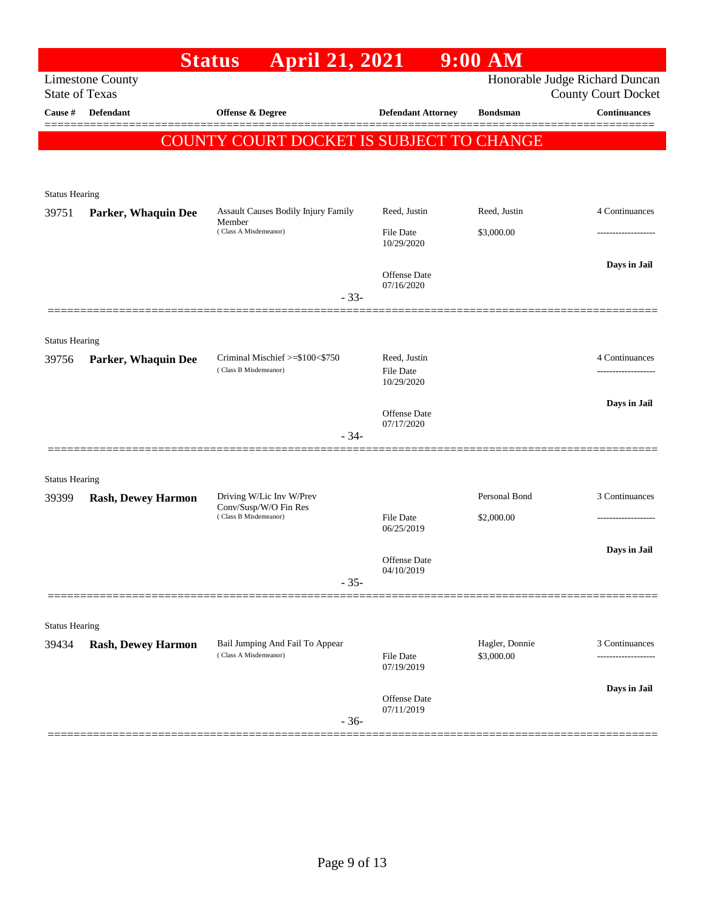|                       |                            | <b>April 21, 2021</b><br><b>Status</b>                   |                                   | $9:00$ AM       |                                                              |
|-----------------------|----------------------------|----------------------------------------------------------|-----------------------------------|-----------------|--------------------------------------------------------------|
| <b>State of Texas</b> | <b>Limestone County</b>    |                                                          |                                   |                 | Honorable Judge Richard Duncan<br><b>County Court Docket</b> |
| Cause #               | <b>Defendant</b>           | <b>Offense &amp; Degree</b>                              | <b>Defendant Attorney</b>         | <b>Bondsman</b> | <b>Continuances</b>                                          |
|                       |                            | COUNTY COURT DOCKET IS SUBJECT TO CHANGE                 |                                   |                 |                                                              |
|                       |                            |                                                          |                                   |                 |                                                              |
| <b>Status Hearing</b> |                            |                                                          |                                   |                 |                                                              |
| 39751                 | <b>Parker, Whaquin Dee</b> | Assault Causes Bodily Injury Family                      | Reed, Justin                      | Reed, Justin    | 4 Continuances                                               |
|                       |                            | Member<br>(Class A Misdemeanor)                          | File Date<br>10/29/2020           | \$3,000.00      | --------------                                               |
|                       |                            |                                                          | Offense Date                      |                 | Days in Jail                                                 |
|                       |                            | $-33-$                                                   | 07/16/2020                        |                 |                                                              |
|                       |                            |                                                          |                                   |                 |                                                              |
| <b>Status Hearing</b> |                            |                                                          |                                   |                 |                                                              |
| 39756                 | Parker, Whaquin Dee        | Criminal Mischief >=\$100<\$750<br>(Class B Misdemeanor) | Reed, Justin<br>File Date         |                 | 4 Continuances                                               |
|                       |                            |                                                          | 10/29/2020                        |                 |                                                              |
|                       |                            |                                                          | Offense Date<br>07/17/2020        |                 | Days in Jail                                                 |
|                       |                            | $-34-$                                                   |                                   |                 |                                                              |
| <b>Status Hearing</b> |                            |                                                          |                                   |                 |                                                              |
| 39399                 | <b>Rash, Dewey Harmon</b>  | Driving W/Lic Inv W/Prev                                 |                                   | Personal Bond   | 3 Continuances                                               |
|                       |                            | Conv/Susp/W/O Fin Res<br>(Class B Misdemeanor)           | File Date<br>06/25/2019           | \$2,000.00      | ---------------                                              |
|                       |                            |                                                          |                                   |                 | Days in Jail                                                 |
|                       |                            |                                                          | <b>Offense</b> Date<br>04/10/2019 |                 |                                                              |
|                       |                            | $-35-$                                                   |                                   |                 |                                                              |
| <b>Status Hearing</b> |                            |                                                          |                                   |                 |                                                              |
| 39434                 | <b>Rash, Dewey Harmon</b>  | Bail Jumping And Fail To Appear<br>(Class A Misdemeanor) |                                   | Hagler, Donnie  | 3 Continuances                                               |
|                       |                            |                                                          | <b>File Date</b><br>07/19/2019    | \$3,000.00      |                                                              |
|                       |                            |                                                          | Offense Date                      |                 | Days in Jail                                                 |
|                       |                            | $-36-$                                                   | 07/11/2019                        |                 |                                                              |
|                       |                            |                                                          |                                   |                 |                                                              |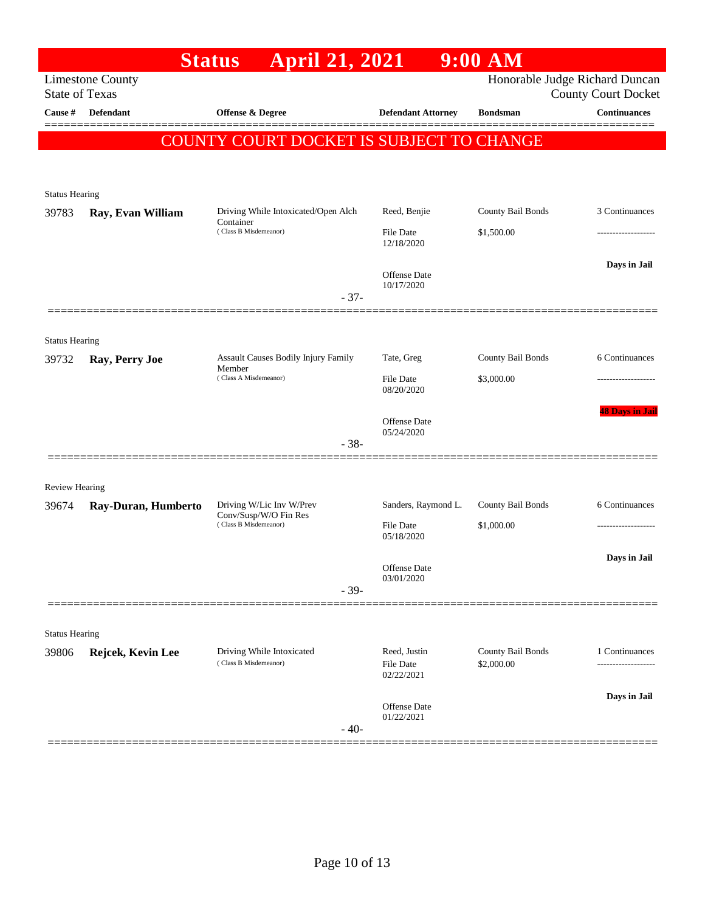|                                |                                                               | <b>April 21, 2021</b><br><b>Status</b>                                     |                                                 | $9:00$ AM                       |                                                                                            |
|--------------------------------|---------------------------------------------------------------|----------------------------------------------------------------------------|-------------------------------------------------|---------------------------------|--------------------------------------------------------------------------------------------|
| Cause #                        | <b>Limestone County</b><br><b>State of Texas</b><br>Defendant | Offense & Degree                                                           | <b>Defendant Attorney</b>                       | <b>Bondsman</b>                 | Honorable Judge Richard Duncan<br><b>County Court Docket</b><br>$\label{1.1}$ Continuances |
|                                |                                                               | COUNTY COURT DOCKET IS SUBJECT TO CHANGE                                   |                                                 |                                 |                                                                                            |
| <b>Status Hearing</b>          |                                                               |                                                                            |                                                 |                                 |                                                                                            |
| 39783                          | Ray, Evan William                                             | Driving While Intoxicated/Open Alch<br>Container<br>(Class B Misdemeanor)  | Reed, Benjie<br>File Date                       | County Bail Bonds<br>\$1,500.00 | 3 Continuances<br>---------------                                                          |
|                                |                                                               | $-37-$                                                                     | 12/18/2020<br><b>Offense Date</b><br>10/17/2020 |                                 | Days in Jail                                                                               |
|                                |                                                               |                                                                            |                                                 |                                 |                                                                                            |
| <b>Status Hearing</b><br>39732 | Ray, Perry Joe                                                | Assault Causes Bodily Injury Family<br>Member<br>(Class A Misdemeanor)     | Tate, Greg<br><b>File Date</b><br>08/20/2020    | County Bail Bonds<br>\$3,000.00 | 6 Continuances                                                                             |
|                                |                                                               | $-38-$                                                                     | Offense Date<br>05/24/2020                      |                                 | <b>48 Days in Jail</b>                                                                     |
| <b>Review Hearing</b>          |                                                               |                                                                            |                                                 |                                 |                                                                                            |
| 39674                          | Ray-Duran, Humberto                                           | Driving W/Lic Inv W/Prev<br>Conv/Susp/W/O Fin Res<br>(Class B Misdemeanor) | Sanders, Raymond L.<br>File Date                | County Bail Bonds<br>\$1,000.00 | 6 Continuances                                                                             |
|                                |                                                               | $-39-$                                                                     | 05/18/2020<br>Offense Date<br>03/01/2020        |                                 | Days in Jail                                                                               |
|                                |                                                               |                                                                            |                                                 |                                 |                                                                                            |
| <b>Status Hearing</b><br>39806 | Rejcek, Kevin Lee                                             | Driving While Intoxicated<br>(Class B Misdemeanor)                         | Reed, Justin<br>File Date<br>02/22/2021         | County Bail Bonds<br>\$2,000.00 | 1 Continuances<br>-------------------                                                      |
|                                |                                                               | $-40-$                                                                     | Offense Date<br>01/22/2021                      |                                 | Days in Jail                                                                               |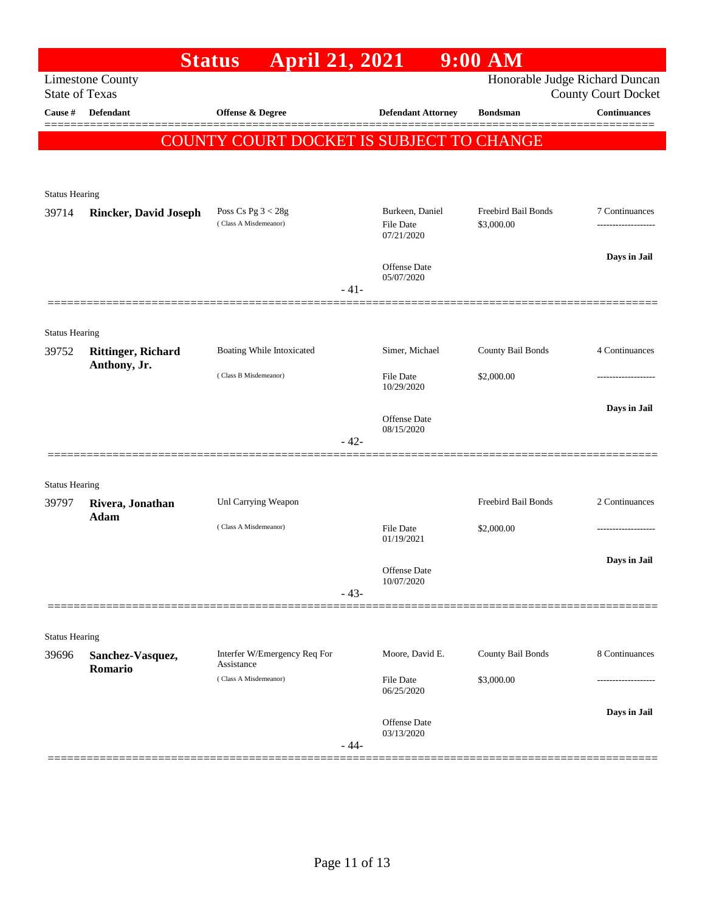|                                  |                              | April 21, 2021<br><b>Status</b>            |        |                                | $9:00$ AM           |                                                   |
|----------------------------------|------------------------------|--------------------------------------------|--------|--------------------------------|---------------------|---------------------------------------------------|
|                                  | <b>Limestone County</b>      |                                            |        |                                |                     | Honorable Judge Richard Duncan                    |
| <b>State of Texas</b><br>Cause # | <b>Defendant</b>             | Offense & Degree                           |        | <b>Defendant Attorney</b>      | <b>Bondsman</b>     | <b>County Court Docket</b><br><b>Continuances</b> |
|                                  |                              |                                            |        |                                |                     |                                                   |
|                                  |                              | COUNTY COURT DOCKET IS SUBJECT TO CHANGE   |        |                                |                     |                                                   |
|                                  |                              |                                            |        |                                |                     |                                                   |
| <b>Status Hearing</b>            |                              |                                            |        |                                |                     |                                                   |
| 39714                            | <b>Rincker, David Joseph</b> | Poss Cs Pg $3 < 28g$                       |        | Burkeen, Daniel                | Freebird Bail Bonds | 7 Continuances                                    |
|                                  |                              | (Class A Misdemeanor)                      |        | <b>File Date</b><br>07/21/2020 | \$3,000.00          | -------------------                               |
|                                  |                              |                                            |        |                                |                     | Days in Jail                                      |
|                                  |                              |                                            |        | Offense Date<br>05/07/2020     |                     |                                                   |
|                                  |                              |                                            | $-41-$ |                                |                     |                                                   |
|                                  |                              |                                            |        |                                |                     |                                                   |
| <b>Status Hearing</b><br>39752   | <b>Rittinger, Richard</b>    | Boating While Intoxicated                  |        | Simer, Michael                 | County Bail Bonds   | 4 Continuances                                    |
|                                  | Anthony, Jr.                 | (Class B Misdemeanor)                      |        | <b>File Date</b>               | \$2,000.00          |                                                   |
|                                  |                              |                                            |        | 10/29/2020                     |                     |                                                   |
|                                  |                              |                                            |        | Offense Date                   |                     | Days in Jail                                      |
|                                  |                              |                                            | $-42-$ | 08/15/2020                     |                     |                                                   |
|                                  |                              |                                            |        |                                |                     |                                                   |
| <b>Status Hearing</b>            |                              |                                            |        |                                |                     |                                                   |
| 39797                            | Rivera, Jonathan             | Unl Carrying Weapon                        |        |                                | Freebird Bail Bonds | 2 Continuances                                    |
|                                  | Adam                         | (Class A Misdemeanor)                      |        | <b>File Date</b>               | \$2,000.00          |                                                   |
|                                  |                              |                                            |        | 01/19/2021                     |                     |                                                   |
|                                  |                              |                                            |        | Offense Date                   |                     | Days in Jail                                      |
|                                  |                              |                                            | $-43-$ | 10/07/2020                     |                     |                                                   |
|                                  |                              |                                            |        |                                |                     |                                                   |
| <b>Status Hearing</b>            |                              |                                            |        |                                |                     |                                                   |
| 39696                            | Sanchez-Vasquez,             | Interfer W/Emergency Req For<br>Assistance |        | Moore, David E.                | County Bail Bonds   | 8 Continuances                                    |
|                                  | Romario                      | (Class A Misdemeanor)                      |        | <b>File Date</b>               | \$3,000.00          |                                                   |
|                                  |                              |                                            |        | 06/25/2020                     |                     |                                                   |
|                                  |                              |                                            |        | Offense Date                   |                     | Days in Jail                                      |
|                                  |                              |                                            | $-44-$ | 03/13/2020                     |                     |                                                   |
|                                  |                              |                                            |        |                                |                     |                                                   |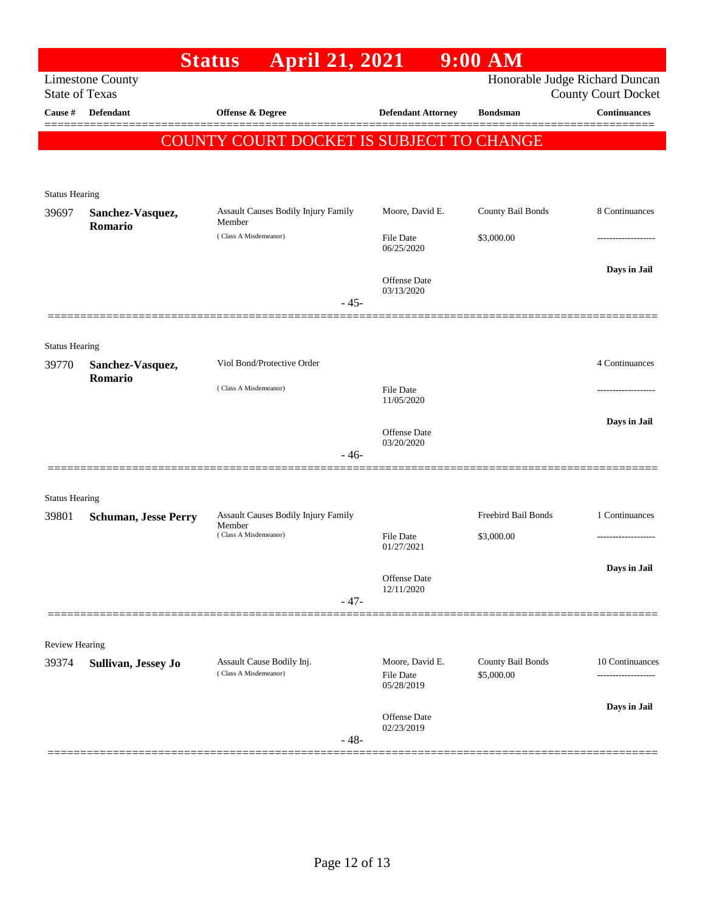|                                  |                             | <b>April 21, 2021</b><br><b>Status</b>          |                                | $9:00$ AM                      |                                                   |
|----------------------------------|-----------------------------|-------------------------------------------------|--------------------------------|--------------------------------|---------------------------------------------------|
|                                  | <b>Limestone County</b>     |                                                 |                                | Honorable Judge Richard Duncan |                                                   |
| <b>State of Texas</b><br>Cause # | <b>Defendant</b>            | Offense & Degree                                | <b>Defendant Attorney</b>      | <b>Bondsman</b>                | <b>County Court Docket</b><br><b>Continuances</b> |
|                                  |                             |                                                 |                                |                                |                                                   |
|                                  |                             | <b>COUNTY COURT DOCKET IS SUBJECT TO CHANGE</b> |                                |                                |                                                   |
|                                  |                             |                                                 |                                |                                |                                                   |
| <b>Status Hearing</b>            |                             |                                                 |                                |                                |                                                   |
| 39697                            | Sanchez-Vasquez,<br>Romario | Assault Causes Bodily Injury Family<br>Member   | Moore, David E.                | County Bail Bonds              | 8 Continuances                                    |
|                                  |                             | (Class A Misdemeanor)                           | <b>File Date</b><br>06/25/2020 | \$3,000.00                     |                                                   |
|                                  |                             |                                                 | Offense Date<br>03/13/2020     |                                | Days in Jail                                      |
|                                  |                             | $-45-$                                          |                                |                                |                                                   |
|                                  |                             |                                                 |                                |                                |                                                   |
| <b>Status Hearing</b><br>39770   | Sanchez-Vasquez,            | Viol Bond/Protective Order                      |                                |                                | 4 Continuances                                    |
|                                  | Romario                     | (Class A Misdemeanor)                           | <b>File Date</b><br>11/05/2020 |                                |                                                   |
|                                  |                             |                                                 | Offense Date                   |                                | Days in Jail                                      |
|                                  |                             | $-46-$                                          | 03/20/2020                     |                                |                                                   |
|                                  |                             |                                                 |                                |                                |                                                   |
| <b>Status Hearing</b>            |                             |                                                 |                                |                                |                                                   |
| 39801                            | <b>Schuman, Jesse Perry</b> | Assault Causes Bodily Injury Family<br>Member   |                                | Freebird Bail Bonds            | 1 Continuances                                    |
|                                  |                             | (Class A Misdemeanor)                           | File Date<br>01/27/2021        | \$3,000.00                     |                                                   |
|                                  |                             |                                                 |                                |                                | Days in Jail                                      |
|                                  |                             |                                                 | Offense Date<br>12/11/2020     |                                |                                                   |
|                                  |                             | $-47-$                                          |                                |                                |                                                   |
|                                  |                             |                                                 |                                |                                |                                                   |
| Review Hearing<br>39374          | Sullivan, Jessey Jo         | Assault Cause Bodily Inj.                       | Moore, David E.                | County Bail Bonds              | 10 Continuances                                   |
|                                  |                             | (Class A Misdemeanor)                           | <b>File Date</b><br>05/28/2019 | \$5,000.00                     |                                                   |
|                                  |                             |                                                 |                                |                                | Days in Jail                                      |
|                                  |                             | $-48-$                                          | Offense Date<br>02/23/2019     |                                |                                                   |